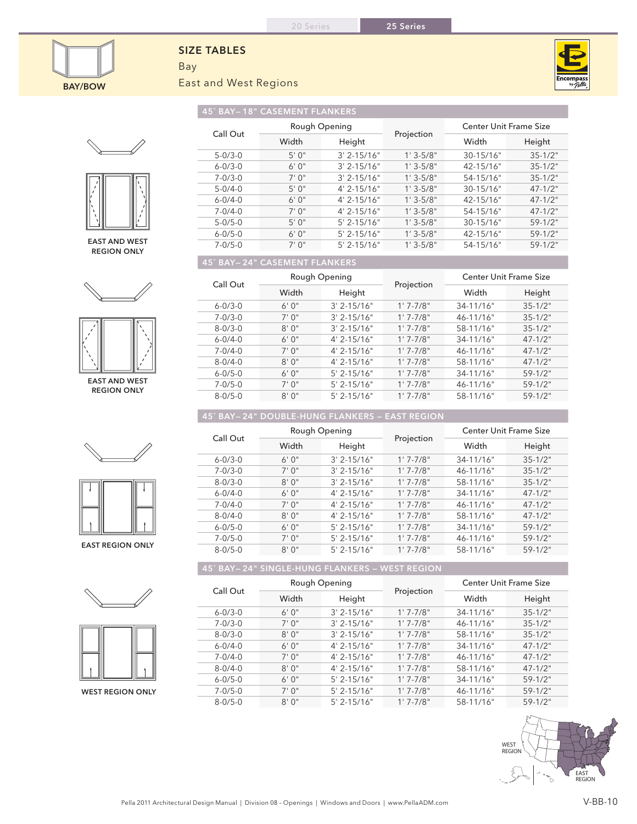

## **SIZE TABLES**

Bay East and West Regions



45˚ Bay— 18" Casement Flankers





East and west Region only





East and west Region only









West Region only

| Call Out      | Rough Opening |                  |              | Center Unit Frame Size |              |  |  |
|---------------|---------------|------------------|--------------|------------------------|--------------|--|--|
|               | Width         | Height           | Projection   | Width                  | Height       |  |  |
| $5 - 0/3 - 0$ | 5'0''         | $3' 2 - 15/16"$  | $1'3 - 5/8"$ | 30-15/16"              | $35 - 1/2$ " |  |  |
| $6 - 0/3 - 0$ | 6'0''         | $3'$ 2-15/16"    | $1'3 - 5/8"$ | $42 - 15/16"$          | $35 - 1/2$ " |  |  |
| $7 - 0/3 - 0$ | 7'0''         | $3' 2 - 15/16"$  | $1'3 - 5/8"$ | 54-15/16"              | $35 - 1/2"$  |  |  |
| $5 - 0/4 - 0$ | 5'0''         | $4' 2 - 15/16''$ | $1'3 - 5/8"$ | $30 - 15/16"$          | $47 - 1/2$ " |  |  |
| $6 - 0/4 - 0$ | 6'0''         | $4'$ 2-15/16"    | $1'3 - 5/8"$ | $42 - 15/16"$          | $47 - 1/2$ " |  |  |
| $7 - 0/4 - 0$ | 7'0''         | $4' 2 - 15/16''$ | $1'3 - 5/8"$ | $54 - 15/16"$          | $47 - 1/2$ " |  |  |
| $5 - 0/5 - 0$ | 5'0''         | $5' 2 - 15/16"$  | $1'3 - 5/8"$ | 30-15/16"              | $59-1/2"$    |  |  |
| $6 - 0/5 - 0$ | 6'0''         | $5' 2 - 15/16"$  | $1'3 - 5/8"$ | 42-15/16"              | $59-1/2"$    |  |  |
| $7 - 0/5 - 0$ | 7'0''         | $5' 2 - 15/16"$  | $1'3 - 5/8"$ | 54-15/16"              | $59-1/2"$    |  |  |
|               |               |                  |              |                        |              |  |  |

## 45˚ Bay— 24" Casement Flankers

| Call Out      | Rough Opening |                 |              | <b>Center Unit Frame Size</b> |              |  |
|---------------|---------------|-----------------|--------------|-------------------------------|--------------|--|
|               | Width         | Height          | Projection   | Width                         | Height       |  |
| $6 - 0/3 - 0$ | 6'0''         | $3' 2 - 15/16"$ | $1'7 - 7/8"$ | $34 - 11/16"$                 | $35 - 1/2"$  |  |
| $7 - 0/3 - 0$ | 7'0''         | $3' 2 - 15/16"$ | $1'7 - 7/8"$ | 46-11/16"                     | $35 - 1/2"$  |  |
| $8 - 0/3 - 0$ | 8'0''         | $3' 2 - 15/16"$ | $1'7 - 7/8"$ | 58-11/16"                     | $35 - 1/2"$  |  |
| $6 - 0/4 - 0$ | 6'0''         | $4' 2 - 15/16"$ | $1'7 - 7/8"$ | 34-11/16"                     | $47 - 1/2$ " |  |
| $7 - 0/4 - 0$ | 7'0''         | $4'$ 2-15/16"   | $1'7 - 7/8"$ | $46 - 11/16"$                 | $47 - 1/2$ " |  |
| $8 - 0/4 - 0$ | 8'0''         | $4' 2 - 15/16"$ | $1'7 - 7/8"$ | 58-11/16"                     | $47 - 1/2$ " |  |
| $6 - 0/5 - 0$ | 6'0''         | $5'$ 2-15/16"   | $1'7 - 7/8"$ | $34 - 11/16"$                 | $59 - 1/2"$  |  |
| $7 - 0/5 - 0$ | 7'0''         | $5'$ 2-15/16"   | $1'7 - 7/8"$ | 46-11/16"                     | $59-1/2"$    |  |
| $8 - 0/5 - 0$ | 8'0''         | $5'$ 2-15/16"   | $1'7 - 7/8"$ | 58-11/16"                     | $59 - 1/2$ " |  |

## 45˚ Bay— 24" double-Hung Flankers — east Region

|                         |               | Rough Opening |                  |              | Center Unit Frame Size |              |
|-------------------------|---------------|---------------|------------------|--------------|------------------------|--------------|
|                         | Call Out      | Width         | Height           | Projection   | Width                  | Height       |
|                         | $6 - 0/3 - 0$ | 6'0''         | $3' 2 - 15/16"$  | $1'7 - 7/8"$ | $34 - 11/16"$          | $35 - 1/2"$  |
|                         | $7 - 0/3 - 0$ | 7'0''         | $3' 2 - 15/16''$ | $1'7 - 7/8"$ | 46-11/16"              | $35 - 1/2"$  |
|                         | $8 - 0/3 - 0$ | 8'0''         | $3' 2 - 15/16"$  | $1'7 - 7/8"$ | 58-11/16"              | $35 - 1/2"$  |
|                         | $6 - 0/4 - 0$ | 6'0''         | $4' 2 - 15/16''$ | $1'7 - 7/8"$ | $34 - 11/16"$          | $47 - 1/2"$  |
|                         | $7 - 0/4 - 0$ | 7'0''         | $4'$ 2-15/16"    | $1'7 - 7/8"$ | $46 - 11/16"$          | $47 - 1/2$ " |
|                         | $8 - 0/4 - 0$ | 8'0''         | $4' 2 - 15/16''$ | $1'7 - 7/8"$ | 58-11/16"              | $47 - 1/2$ " |
|                         | $6 - 0/5 - 0$ | 6'0''         | $5'$ 2-15/16"    | $1'7 - 7/8"$ | $34 - 11/16"$          | $59-1/2"$    |
|                         | $7 - 0/5 - 0$ | 7'0''         | $5'$ 2-15/16"    | $1'7 - 7/8"$ | 46-11/16"              | $59-1/2"$    |
| <b>EAST REGION ONLY</b> | $8 - 0/5 - 0$ | 8'0''         | $5'$ 2-15/16"    | $1'7 - 7/8"$ | 58-11/16"              | $59-1/2"$    |

45˚ Bay— 24" Single-Hung Flankers — West Region

| Call Out      | Rough Opening |                  | Projection   | <b>Center Unit Frame Size</b> |              |  |
|---------------|---------------|------------------|--------------|-------------------------------|--------------|--|
|               | Width         | Height           |              | Width                         | Height       |  |
| $6 - 0/3 - 0$ | 6'0''         | $3' 2 - 15/16"$  | $1'7 - 7/8"$ | $34 - 11/16"$                 | $35 - 1/2"$  |  |
| $7 - 0/3 - 0$ | 7'0''         | $3' 2 - 15/16"$  | $1'7 - 7/8"$ | $46 - 11/16"$                 | $35 - 1/2$ " |  |
| $8 - 0/3 - 0$ | 8'0''         | $3' 2 - 15/16"$  | $1'7 - 7/8"$ | 58-11/16"                     | $35 - 1/2"$  |  |
| $6 - 0/4 - 0$ | 6'0''         | $4' 2 - 15/16''$ | $1'7 - 7/8"$ | $34 - 11/16"$                 | $47 - 1/2$ " |  |
| $7 - 0/4 - 0$ | 7'0''         | $4' 2 - 15/16''$ | $1'7 - 7/8"$ | $46 - 11/16"$                 | $47 - 1/2$ " |  |
| $8 - 0/4 - 0$ | 8'0''         | $4' 2 - 15/16''$ | $1'7 - 7/8"$ | 58-11/16"                     | $47 - 1/2$ " |  |
| $6 - 0/5 - 0$ | 6'0''         | $5'$ 2-15/16"    | $1'7 - 7/8"$ | 34-11/16"                     | $59 - 1/2"$  |  |
| $7 - 0/5 - 0$ | 7'0''         | $5'$ 2-15/16"    | $1'7 - 7/8"$ | 46-11/16"                     | $59-1/2"$    |  |
| $8 - 0/5 - 0$ | 8'0''         | $5'$ 2-15/16"    | $1'7 - 7/8"$ | 58-11/16"                     | $59-1/2"$    |  |